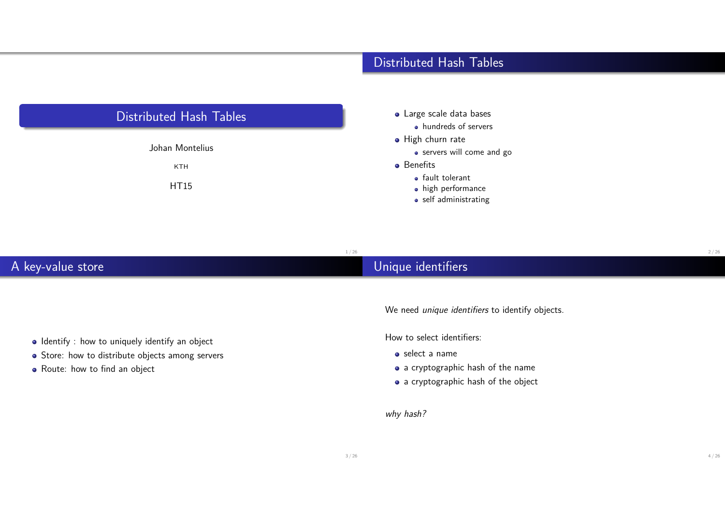

### Distributed Hash Tables

- Large scale data bases
	- hundreds of servers
- **•** High churn rate
	- servers will come and go
- **•** Benefits
	- **•** fault tolerant
	- high performance
	- self administrating

| A key-value store | Unique identifiers |  |
|-------------------|--------------------|--|

We need *unique identifiers* to identify objects.

How to select identifiers:

- select a name
- a cryptographic hash of the name
- a cryptographic hash of the object

why hash?

- $\bullet$  Identify : how to uniquely identify an object
- Store: how to distribute objects among servers
- Route: how to find an object

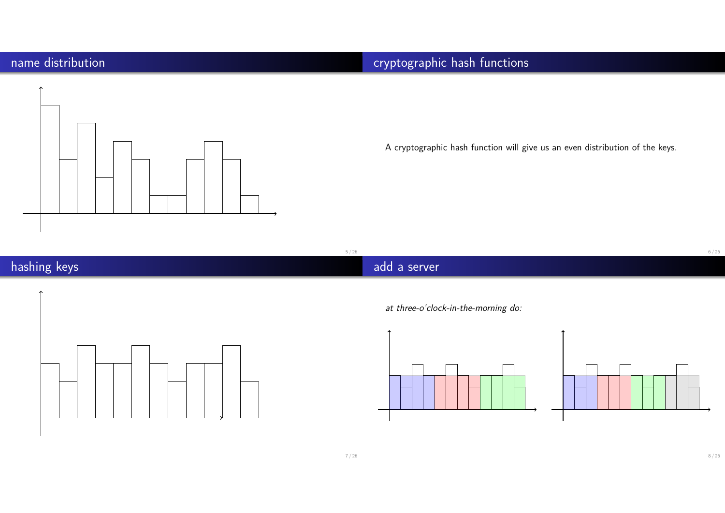# name distribution



# cryptographic hash functions

A cryptographic hash function will give us an even distribution of the keys.

5 / 26

# hashing keys





at three-o'clock-in-the-morning do:



8 / 26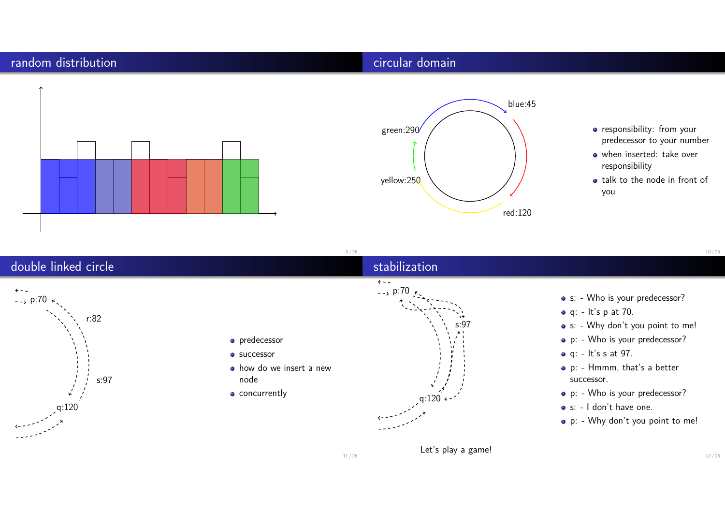#### random distribution

#### circular domain

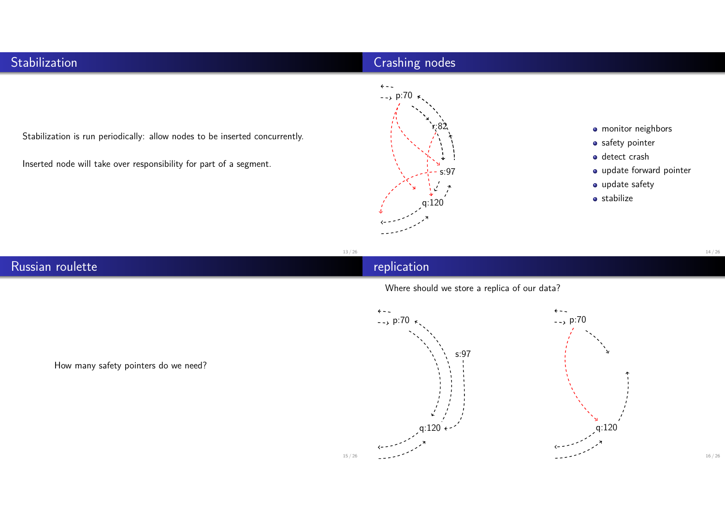### **Stabilization**

## Crashing nodes



Inserted node will take over responsibility for part of a segment.



- monitor neighbors
- safety pointer
- o detect crash
- update forward pointer
- update safety
- **o** stabilize

13 / 26

replication

# Russian roulette

Where should we store a replica of our data?



How many safety pointers do we need?

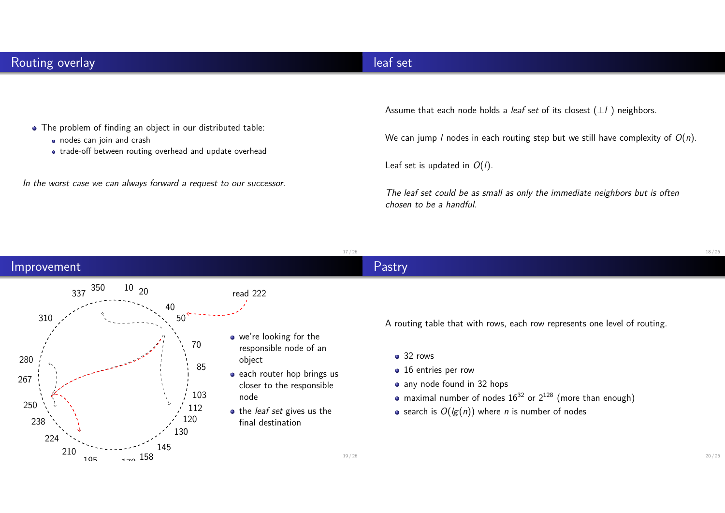#### leaf set

- The problem of finding an object in our distributed table:
	- nodes can join and crash
	- trade-off between routing overhead and update overhead

In the worst case we can always forward a request to our successor.

Assume that each node holds a *leaf set* of its closest  $(\pm l)$  neighbors.

We can jump *l* nodes in each routing step but we still have complexity of  $O(n)$ .

Leaf set is updated in  $O(1)$ .

The leaf set could be as small as only the immediate neighbors but is often chosen to be a handful.

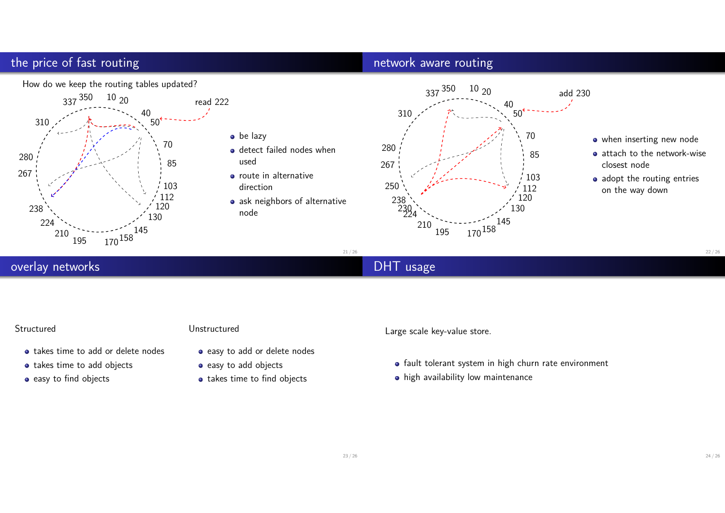## the price of fast routing

#### network aware routing



#### overlay networks

## DHT usage

#### Structured

- takes time to add or delete nodes
- takes time to add objects
- easy to find objects

#### Unstructured

- easy to add or delete nodes
- easy to add objects
- takes time to find objects

Large scale key-value store.

- fault tolerant system in high churn rate environment
- high availability low maintenance